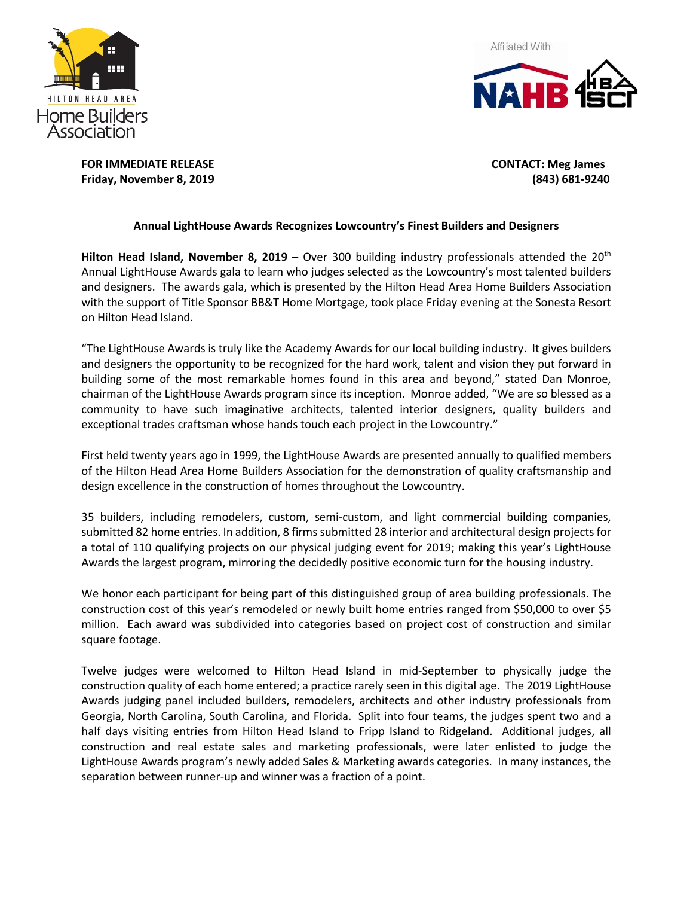



**FOR IMMEDIATE RELEASE CONTACT: Meg James Friday, November 8, 2019 (843) 681-9240**

### **Annual LightHouse Awards Recognizes Lowcountry's Finest Builders and Designers**

**Hilton Head Island, November 8, 2019 –** Over 300 building industry professionals attended the 20th Annual LightHouse Awards gala to learn who judges selected as the Lowcountry's most talented builders and designers. The awards gala, which is presented by the Hilton Head Area Home Builders Association with the support of Title Sponsor BB&T Home Mortgage, took place Friday evening at the Sonesta Resort on Hilton Head Island.

"The LightHouse Awards is truly like the Academy Awards for our local building industry. It gives builders and designers the opportunity to be recognized for the hard work, talent and vision they put forward in building some of the most remarkable homes found in this area and beyond," stated Dan Monroe, chairman of the LightHouse Awards program since its inception. Monroe added, "We are so blessed as a community to have such imaginative architects, talented interior designers, quality builders and exceptional trades craftsman whose hands touch each project in the Lowcountry."

First held twenty years ago in 1999, the LightHouse Awards are presented annually to qualified members of the Hilton Head Area Home Builders Association for the demonstration of quality craftsmanship and design excellence in the construction of homes throughout the Lowcountry.

35 builders, including remodelers, custom, semi-custom, and light commercial building companies, submitted 82 home entries. In addition, 8 firms submitted 28 interior and architectural design projects for a total of 110 qualifying projects on our physical judging event for 2019; making this year's LightHouse Awards the largest program, mirroring the decidedly positive economic turn for the housing industry.

We honor each participant for being part of this distinguished group of area building professionals. The construction cost of this year's remodeled or newly built home entries ranged from \$50,000 to over \$5 million. Each award was subdivided into categories based on project cost of construction and similar square footage.

Twelve judges were welcomed to Hilton Head Island in mid-September to physically judge the construction quality of each home entered; a practice rarely seen in this digital age. The 2019 LightHouse Awards judging panel included builders, remodelers, architects and other industry professionals from Georgia, North Carolina, South Carolina, and Florida. Split into four teams, the judges spent two and a half days visiting entries from Hilton Head Island to Fripp Island to Ridgeland. Additional judges, all construction and real estate sales and marketing professionals, were later enlisted to judge the LightHouse Awards program's newly added Sales & Marketing awards categories. In many instances, the separation between runner-up and winner was a fraction of a point.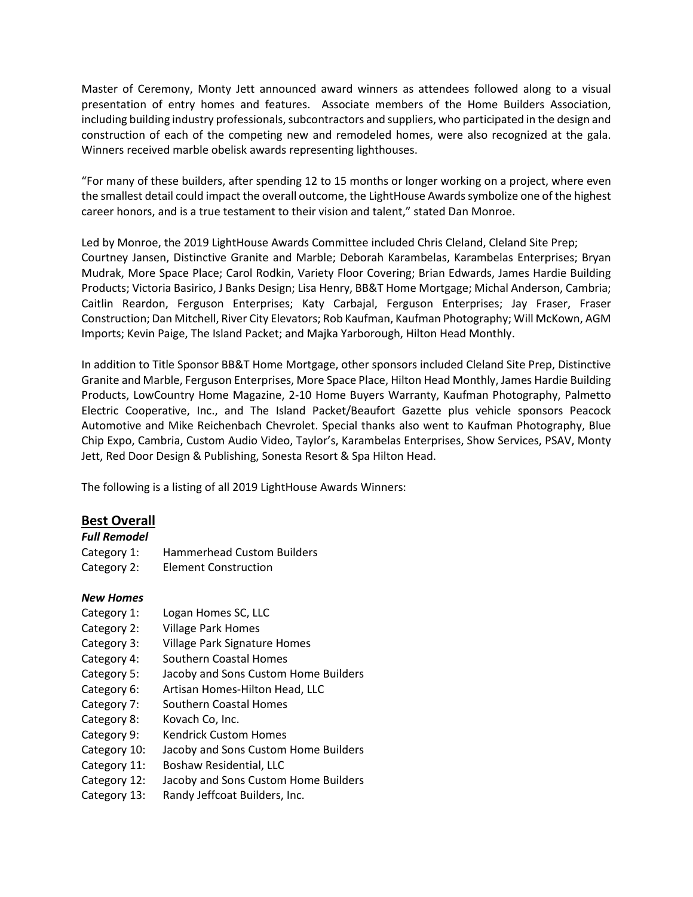Master of Ceremony, Monty Jett announced award winners as attendees followed along to a visual presentation of entry homes and features. Associate members of the Home Builders Association, including building industry professionals, subcontractors and suppliers, who participated in the design and construction of each of the competing new and remodeled homes, were also recognized at the gala. Winners received marble obelisk awards representing lighthouses.

"For many of these builders, after spending 12 to 15 months or longer working on a project, where even the smallest detail could impact the overall outcome, the LightHouse Awards symbolize one of the highest career honors, and is a true testament to their vision and talent," stated Dan Monroe.

Led by Monroe, the 2019 LightHouse Awards Committee included Chris Cleland, Cleland Site Prep; Courtney Jansen, Distinctive Granite and Marble; Deborah Karambelas, Karambelas Enterprises; Bryan Mudrak, More Space Place; Carol Rodkin, Variety Floor Covering; Brian Edwards, James Hardie Building Products; Victoria Basirico, J Banks Design; Lisa Henry, BB&T Home Mortgage; Michal Anderson, Cambria; Caitlin Reardon, Ferguson Enterprises; Katy Carbajal, Ferguson Enterprises; Jay Fraser, Fraser Construction; Dan Mitchell, River City Elevators; Rob Kaufman, Kaufman Photography; Will McKown, AGM Imports; Kevin Paige, The Island Packet; and Majka Yarborough, Hilton Head Monthly.

In addition to Title Sponsor BB&T Home Mortgage, other sponsors included Cleland Site Prep, Distinctive Granite and Marble, Ferguson Enterprises, More Space Place, Hilton Head Monthly, James Hardie Building Products, LowCountry Home Magazine, 2-10 Home Buyers Warranty, Kaufman Photography, Palmetto Electric Cooperative, Inc., and The Island Packet/Beaufort Gazette plus vehicle sponsors Peacock Automotive and Mike Reichenbach Chevrolet. Special thanks also went to Kaufman Photography, Blue Chip Expo, Cambria, Custom Audio Video, Taylor's, Karambelas Enterprises, Show Services, PSAV, Monty Jett, Red Door Design & Publishing, Sonesta Resort & Spa Hilton Head.

The following is a listing of all 2019 LightHouse Awards Winners:

## **Best Overall**

| Full Remodel |                                   |
|--------------|-----------------------------------|
| Category 1:  | <b>Hammerhead Custom Builders</b> |
| Category 2:  | <b>Element Construction</b>       |

## *New Homes*

- Category 1: Logan Homes SC, LLC
- Category 2: Village Park Homes
- Category 3: Village Park Signature Homes
- Category 4: Southern Coastal Homes
- Category 5: Jacoby and Sons Custom Home Builders
- Category 6: Artisan Homes-Hilton Head, LLC
- Category 7: Southern Coastal Homes
- Category 8: Kovach Co, Inc.
- Category 9: Kendrick Custom Homes
- Category 10: Jacoby and Sons Custom Home Builders
- Category 11: Boshaw Residential, LLC
- Category 12: Jacoby and Sons Custom Home Builders
- Category 13: Randy Jeffcoat Builders, Inc.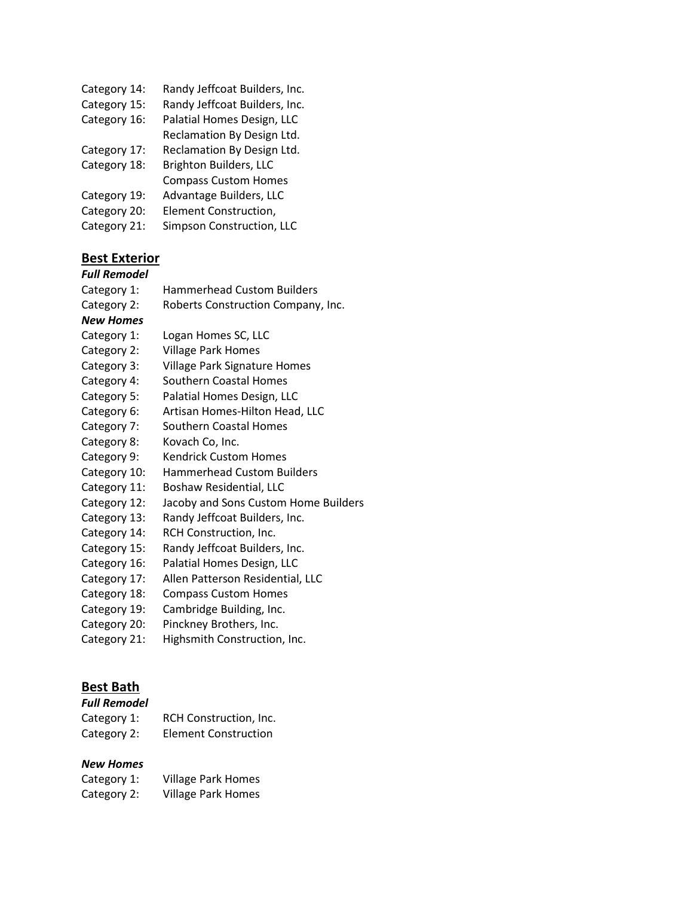- Category 14: Randy Jeffcoat Builders, Inc.
- Category 15: Randy Jeffcoat Builders, Inc.
- Category 16: Palatial Homes Design, LLC Reclamation By Design Ltd.
- Category 17: Reclamation By Design Ltd.
- Category 18: Brighton Builders, LLC Compass Custom Homes
- Category 19: Advantage Builders, LLC
- Category 20: Element Construction,
- Category 21: Simpson Construction, LLC

# **Best Exterior**

### *Full Remodel*

- Category 1: Hammerhead Custom Builders
- Category 2: Roberts Construction Company, Inc.

### *New Homes*

- Category 1: Logan Homes SC, LLC
- Category 2: Village Park Homes
- Category 3: Village Park Signature Homes
- Category 4: Southern Coastal Homes
- Category 5: Palatial Homes Design, LLC
- Category 6: Artisan Homes-Hilton Head, LLC
- Category 7: Southern Coastal Homes
- Category 8: Kovach Co, Inc.
- Category 9: Kendrick Custom Homes
- Category 10: Hammerhead Custom Builders
- Category 11: Boshaw Residential, LLC
- Category 12: Jacoby and Sons Custom Home Builders
- Category 13: Randy Jeffcoat Builders, Inc.
- Category 14: RCH Construction, Inc.
- Category 15: Randy Jeffcoat Builders, Inc.
- Category 16: Palatial Homes Design, LLC
- Category 17: Allen Patterson Residential, LLC
- Category 18: Compass Custom Homes
- Category 19: Cambridge Building, Inc.
- Category 20: Pinckney Brothers, Inc.
- Category 21: Highsmith Construction, Inc.

# **Best Bath**

### *Full Remodel*

Category 1: RCH Construction, Inc. Category 2: Element Construction

## *New Homes*

| Category 1: | <b>Village Park Homes</b> |
|-------------|---------------------------|
| Category 2: | <b>Village Park Homes</b> |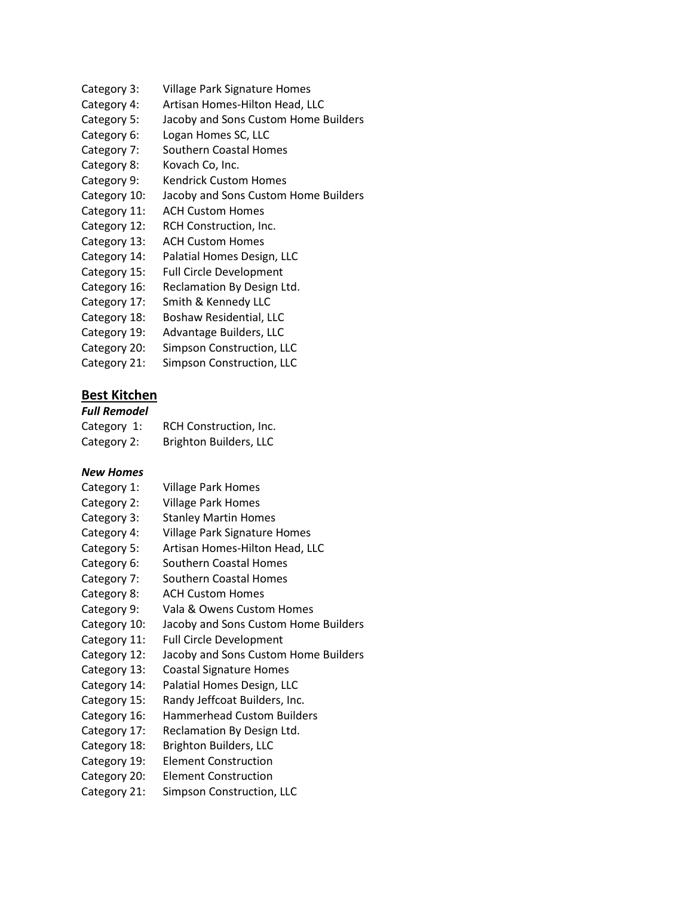- Category 3: Village Park Signature Homes
- Category 4: Artisan Homes-Hilton Head, LLC
- Category 5: Jacoby and Sons Custom Home Builders
- Category 6: Logan Homes SC, LLC
- Category 7: Southern Coastal Homes
- Category 8: Kovach Co, Inc.
- Category 9: Kendrick Custom Homes
- Category 10: Jacoby and Sons Custom Home Builders
- Category 11: ACH Custom Homes
- Category 12: RCH Construction, Inc.
- Category 13: ACH Custom Homes
- Category 14: Palatial Homes Design, LLC
- Category 15: Full Circle Development
- Category 16: Reclamation By Design Ltd.
- Category 17: Smith & Kennedy LLC
- Category 18: Boshaw Residential, LLC
- Category 19: Advantage Builders, LLC
- Category 20: Simpson Construction, LLC
- Category 21: Simpson Construction, LLC

# **Best Kitchen**

## *Full Remodel*

| Category 1: | RCH Construction, Inc.        |
|-------------|-------------------------------|
| Category 2: | <b>Brighton Builders, LLC</b> |

### *New Homes*

- Category 1: Village Park Homes
- Category 2: Village Park Homes
- Category 3: Stanley Martin Homes
- Category 4: Village Park Signature Homes
- Category 5: Artisan Homes-Hilton Head, LLC
- Category 6: Southern Coastal Homes
- Category 7: Southern Coastal Homes
- Category 8: ACH Custom Homes
- Category 9: Vala & Owens Custom Homes
- Category 10: Jacoby and Sons Custom Home Builders
- Category 11: Full Circle Development
- Category 12: Jacoby and Sons Custom Home Builders
- Category 13: Coastal Signature Homes
- Category 14: Palatial Homes Design, LLC
- Category 15: Randy Jeffcoat Builders, Inc.
- Category 16: Hammerhead Custom Builders
- Category 17: Reclamation By Design Ltd.
- Category 18: Brighton Builders, LLC
- Category 19: Element Construction
- Category 20: Element Construction
- Category 21: Simpson Construction, LLC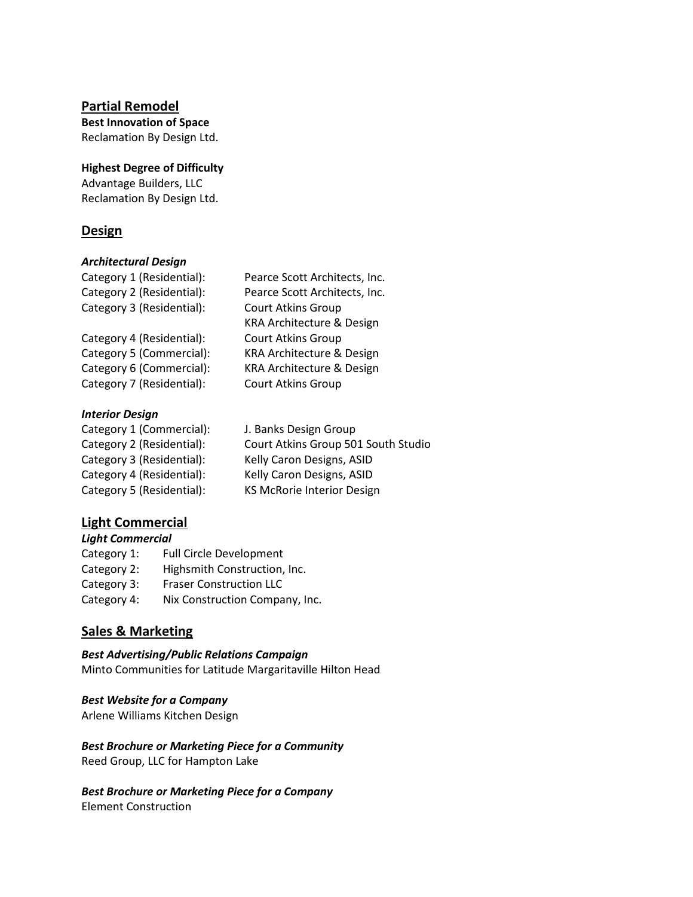## **Partial Remodel**

**Best Innovation of Space** Reclamation By Design Ltd.

**Highest Degree of Difficulty** Advantage Builders, LLC Reclamation By Design Ltd.

## **Design**

### *Architectural Design*

| Category 1 (Residential): | Pearce Scott Architects, Inc. |
|---------------------------|-------------------------------|
| Category 2 (Residential): | Pearce Scott Architects, Inc. |
| Category 3 (Residential): | <b>Court Atkins Group</b>     |
|                           | KRA Architecture & Design     |
| Category 4 (Residential): | <b>Court Atkins Group</b>     |
| Category 5 (Commercial):  | KRA Architecture & Design     |
| Category 6 (Commercial):  | KRA Architecture & Design     |
| Category 7 (Residential): | <b>Court Atkins Group</b>     |
|                           |                               |

#### *Interior Design*

| Category 1 (Commercial):  | J. Banks Design Group               |
|---------------------------|-------------------------------------|
| Category 2 (Residential): | Court Atkins Group 501 South Studio |
| Category 3 (Residential): | Kelly Caron Designs, ASID           |
| Category 4 (Residential): | Kelly Caron Designs, ASID           |
| Category 5 (Residential): | <b>KS McRorie Interior Design</b>   |
|                           |                                     |

## **Light Commercial**

*Light Commercial* Category 1: Full Circle Development Category 2: Highsmith Construction, Inc. Category 3: Fraser Construction LLC Category 4: Nix Construction Company, Inc.

# **Sales & Marketing**

*Best Advertising/Public Relations Campaign* Minto Communities for Latitude Margaritaville Hilton Head

*Best Website for a Company* Arlene Williams Kitchen Design

*Best Brochure or Marketing Piece for a Community* Reed Group, LLC for Hampton Lake

*Best Brochure or Marketing Piece for a Company* Element Construction